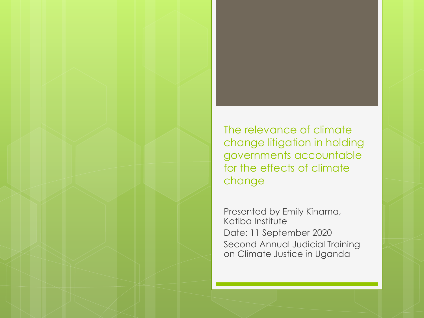

Presented by Emily Kinama, Katiba Institute Date: 11 September 2020 Second Annual Judicial Training on Climate Justice in Uganda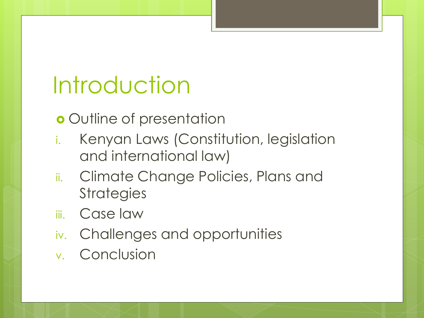# Introduction

o Outline of presentation

- i. Kenyan Laws (Constitution, legislation and international law)
- ii. Climate Change Policies, Plans and **Strategies**
- iii. Case law
- iv. Challenges and opportunities
- v. Conclusion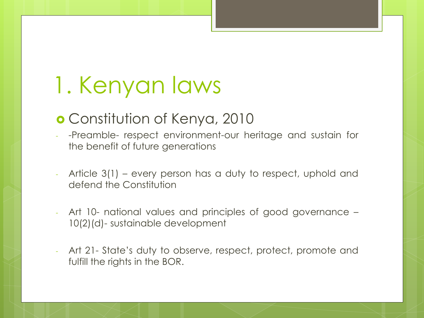# 1. Kenyan laws

#### Constitution of Kenya, 2010

- -Preamble- respect environment-our heritage and sustain for the benefit of future generations
- Article 3(1) every person has a duty to respect, uphold and defend the Constitution
- Art 10- national values and principles of good governance 10(2)(d)- sustainable development
- Art 21- State's duty to observe, respect, protect, promote and fulfill the rights in the BOR.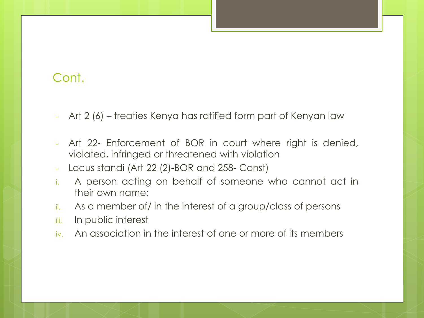- Art 2 (6) treaties Kenya has ratified form part of Kenyan law
- Art 22- Enforcement of BOR in court where right is denied, violated, infringed or threatened with violation
- Locus standi (Art 22 (2)-BOR and 258- Const)
- i. A person acting on behalf of someone who cannot act in their own name;
- ii. As a member of/ in the interest of a group/class of persons
- iii. In public interest
- iv. An association in the interest of one or more of its members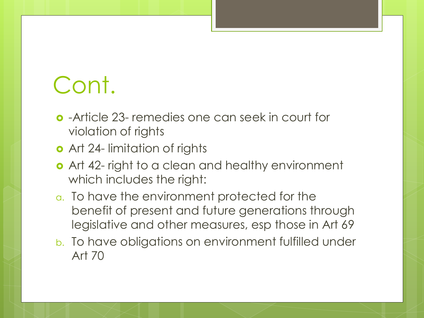- -Article 23- remedies one can seek in court for violation of rights
- **o** Art 24- limitation of rights
- o Art 42- right to a clean and healthy environment which includes the right:
- a. To have the environment protected for the benefit of present and future generations through legislative and other measures, esp those in Art 69
- b. To have obligations on environment fulfilled under Art 70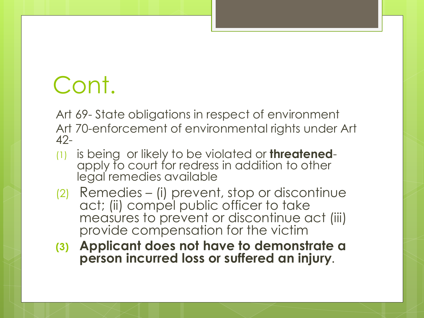Art 69- State obligations in respect of environment Art 70-enforcement of environmental rights under Art 42-

- (1) is being or likely to be violated or **threatened**apply to court for redress in addition to other legal remedies available
- (2) Remedies (i) prevent, stop or discontinue act; (ii) compel public officer to take measures to prevent or discontinue act (iii) provide compensation for the victim
- **(3) Applicant does not have to demonstrate a person incurred loss or suffered an injury**.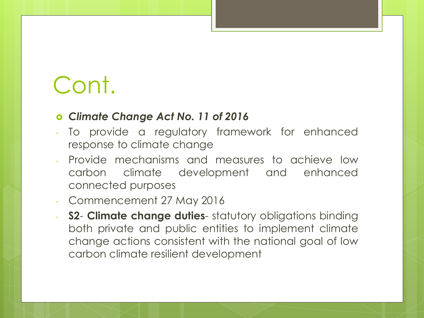#### *Climate Change Act No. 11 of 2016*

- To provide a regulatory framework for enhanced response to climate change
- Provide mechanisms and measures to achieve low carbon climate development and enhanced connected purposes
- Commencement 27 May 2016
- **S2 Climate change duties** statutory obligations binding both private and public entities to implement climate change actions consistent with the national goal of low carbon climate resilient development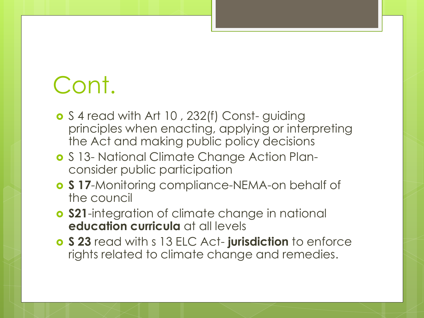- **o** S 4 read with Art 10, 232(f) Const-guiding principles when enacting, applying or interpreting the Act and making public policy decisions
- **o** S 13- National Climate Change Action Planconsider public participation
- **S 17**-Monitoring compliance-NEMA-on behalf of the council
- **S21**-integration of climate change in national **education curricula** at all levels
- **S 23** read with s 13 ELC Act- **jurisdiction** to enforce rights related to climate change and remedies.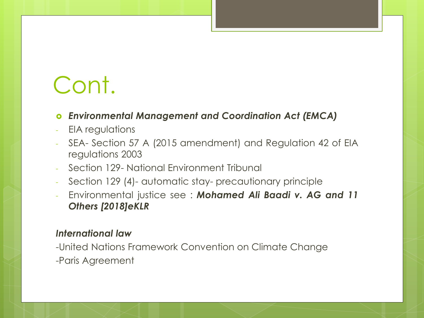#### *Environmental Management and Coordination Act (EMCA)*

- EIA regulations
- SEA- Section 57 A (2015 amendment) and Regulation 42 of EIA regulations 2003
- Section 129- National Environment Tribunal
- Section 129 (4)- automatic stay- precautionary principle
- Environmental justice see : *Mohamed Ali Baadi v. AG and 11 Others [2018]eKLR*

#### *International law*

-United Nations Framework Convention on Climate Change -Paris Agreement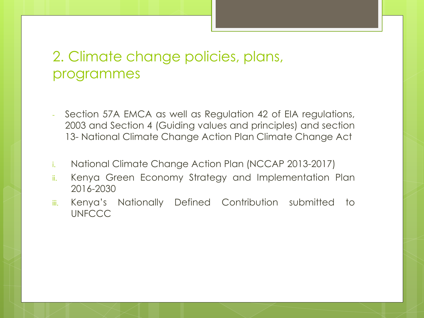#### 2. Climate change policies, plans, programmes

- Section 57A EMCA as well as Regulation 42 of EIA regulations, 2003 and Section 4 (Guiding values and principles) and section 13- National Climate Change Action Plan Climate Change Act
- i. National Climate Change Action Plan (NCCAP 2013-2017)
- ii. Kenya Green Economy Strategy and Implementation Plan 2016-2030
- iii. Kenya's Nationally Defined Contribution submitted to **UNFCCC**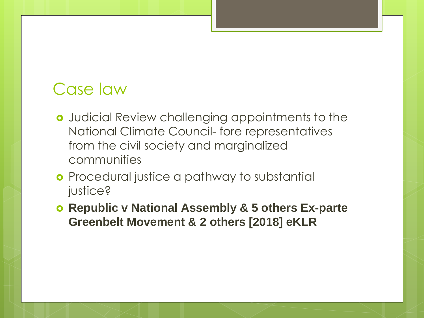#### Case law

- Judicial Review challenging appointments to the National Climate Council- fore representatives from the civil society and marginalized communities
- **o** Procedural justice a pathway to substantial justice?
- *Republic v National Assembly & 5 others Ex-parte Greenbelt Movement & 2 others [2018] eKLR*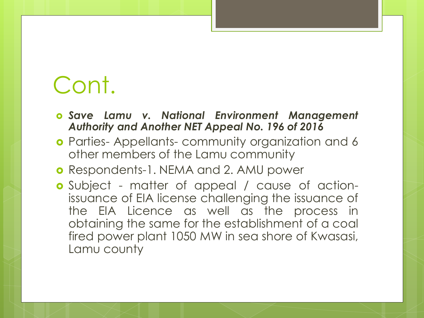- *Save Lamu v. National Environment Management Authority and Another NET Appeal No. 196 of 2016*
- **o** Parties- Appellants- community organization and 6 other members of the Lamu community
- **o** Respondents-1. NEMA and 2. AMU power
- Subject matter of appeal / cause of actionissuance of EIA license challenging the issuance of the EIA Licence as well as the process in obtaining the same for the establishment of a coal fired power plant 1050 MW in sea shore of Kwasasi, Lamu county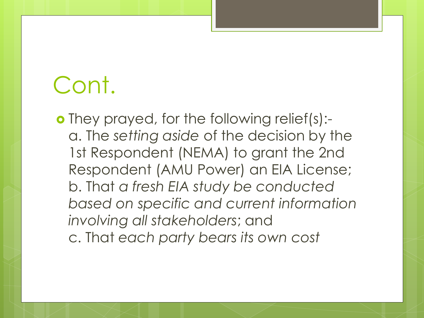o They prayed, for the following relief(s):a. The *setting aside* of the decision by the 1st Respondent (NEMA) to grant the 2nd Respondent (AMU Power) an EIA License; b. That *a fresh EIA study be conducted based on specific and current information involving all stakeholders*; and c. That *each party bears its own cost*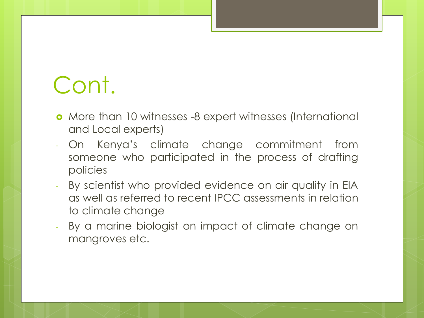- More than 10 witnesses -8 expert witnesses (International and Local experts)
- On Kenya's climate change commitment from someone who participated in the process of drafting policies
- By scientist who provided evidence on air quality in EIA as well as referred to recent IPCC assessments in relation to climate change
- By a marine biologist on impact of climate change on mangroves etc.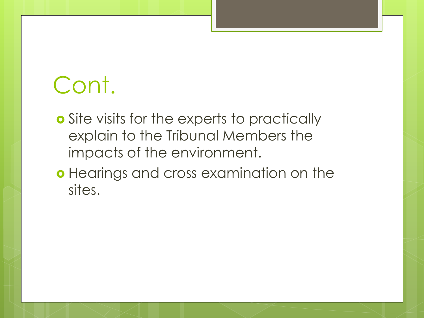- **o** Site visits for the experts to practically explain to the Tribunal Members the impacts of the environment.
- o Hearings and cross examination on the sites.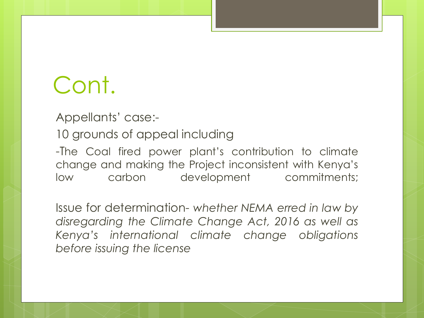Appellants' case:-

10 grounds of appeal including

-The Coal fired power plant's contribution to climate change and making the Project inconsistent with Kenya's low carbon development commitments;

Issue for determination- *whether NEMA erred in law by disregarding the Climate Change Act, 2016 as well as Kenya's international climate change obligations before issuing the license*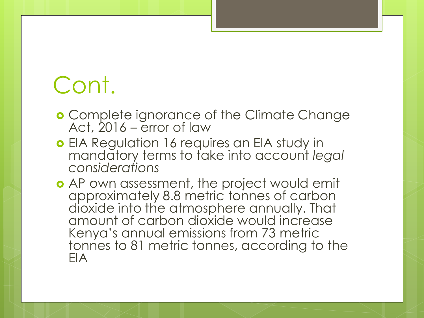- **o** Complete ignorance of the Climate Change Act, 2016 – error of law
- **o** EIA Regulation 16 requires an EIA study in mandatory terms to take into account *legal considerations*
- **•** AP own assessment, the project would emit approximately 8.8 metric tonnes of carbon dioxide into the atmosphere annually. That amount of carbon dioxide would increase Kenya's annual emissions from 73 metric tonnes to 81 metric tonnes, according to the EIA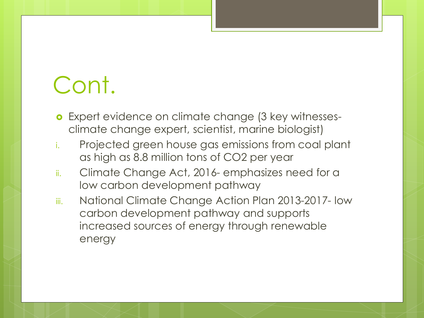- **o** Expert evidence on climate change (3 key witnessesclimate change expert, scientist, marine biologist)
- i. Projected green house gas emissions from coal plant as high as 8.8 million tons of CO2 per year
- ii. Climate Change Act, 2016- emphasizes need for a low carbon development pathway
- iii. National Climate Change Action Plan 2013-2017- low carbon development pathway and supports increased sources of energy through renewable energy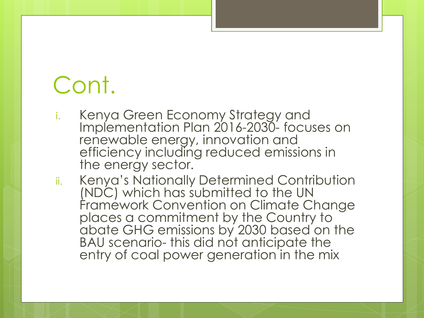- i. Kenya Green Economy Strategy and Implementation Plan 2016-2030- focuses on renewable energy, innovation and efficiency including reduced emissions in the energy sector.
- ii. Kenya's Nationally Determined Contribution (NDC) which has submitted to the UN Framework Convention on Climate Change places a commitment by the Country to abate GHG emissions by 2030 based on the BAU scenario- this did not anticipate the entry of coal power generation in the mix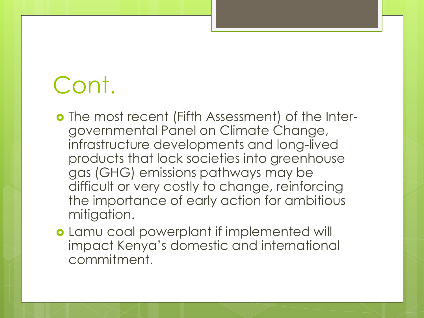- The most recent (Fifth Assessment) of the Intergovernmental Panel on Climate Change, infrastructure developments and long-lived products that lock societies into greenhouse gas (GHG) emissions pathways may be difficult or very costly to change, reinforcing the importance of early action for ambitious mitigation.
- **o** Lamu coal powerplant if implemented will impact Kenya's domestic and international commitment.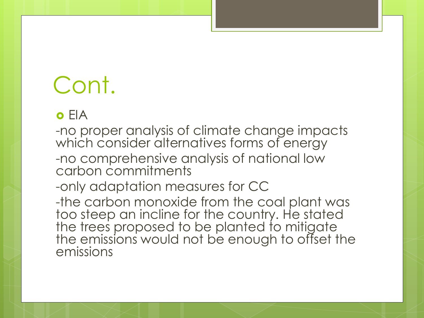#### o FIA

-no proper analysis of climate change impacts which consider alternatives forms of energy -no comprehensive analysis of national low carbon commitments

-only adaptation measures for CC

-the carbon monoxide from the coal plant was too steep an incline for the country. He stated the trees proposed to be planted to mitigate the emissions would not be enough to offset the emissions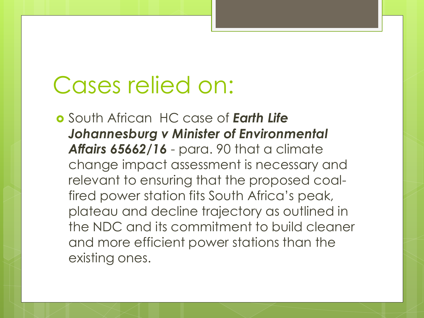### Cases relied on:

 South African HC case of *Earth Life Johannesburg v Minister of Environmental Affairs 65662/16* - para. 90 that a climate change impact assessment is necessary and relevant to ensuring that the proposed coalfired power station fits South Africa's peak, plateau and decline trajectory as outlined in the NDC and its commitment to build cleaner and more efficient power stations than the existing ones.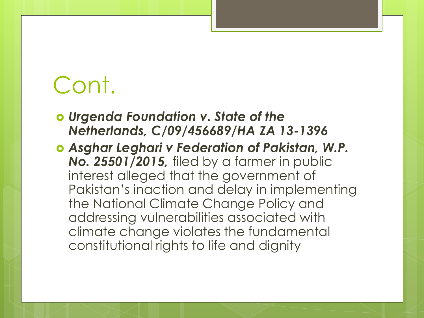- *Urgenda Foundation v. State of the Netherlands, C/09/456689/HA ZA 13-1396*
- *Asghar Leghari v Federation of Pakistan, W.P. No. 25501/2015,* filed by a farmer in public interest alleged that the government of Pakistan's inaction and delay in implementing the National Climate Change Policy and addressing vulnerabilities associated with climate change violates the fundamental constitutional rights to life and dignity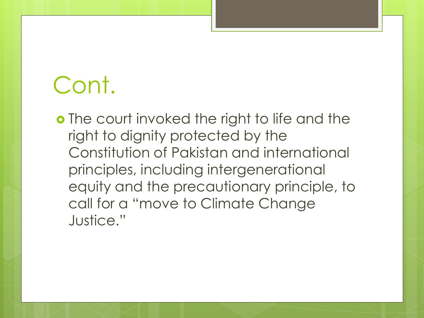**o** The court invoked the right to life and the right to dignity protected by the Constitution of Pakistan and international principles, including intergenerational equity and the precautionary principle, to call for a "move to Climate Change Justice."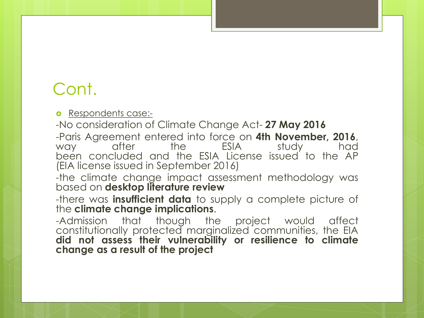**o** Respondents case:-

-No consideration of Climate Change Act- **27 May 2016** -Paris Agreement entered into force on **4th November, 2016**, way after the ESIA study had been concluded and the ESIA License issued to the AP (EIA license issued in September 2016)

-the climate change impact assessment methodology was based on **desktop literature review**

-there was **insufficient data** to supply a complete picture of the **climate change implications**.

-Admission that though the project would affect constitutionally protected marginalized communities, the EIA **did not assess their vulnerability or resilience to climate change as a result of the project**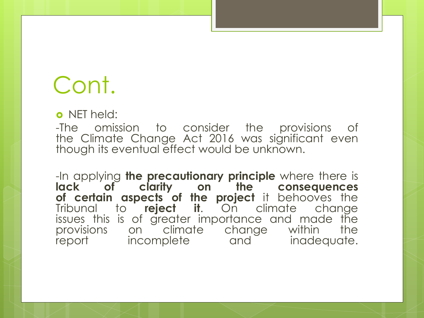o NET held:

-The omission to consider the provisions of the Climate Change Act 2016 was significant even though its eventual effect would be unknown.

-In applying **the precautionary principle** where there is **lack of clarity on the consequences of certain aspects of the project** it behooves the Tribunal to **reject it**. On climate change issues this is of greater importance and made the provisions on climate change within the report incomplete and inadequate.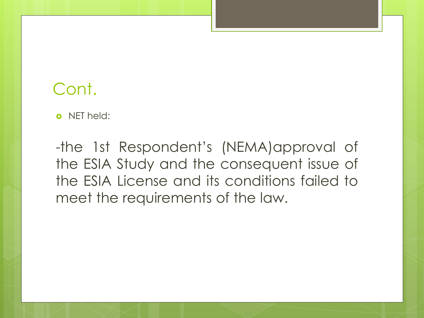o NFT held:

-the 1st Respondent's (NEMA)approval of the ESIA Study and the consequent issue of the ESIA License and its conditions failed to meet the requirements of the law.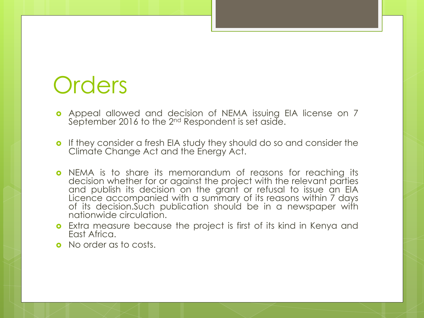### **Orders**

- Appeal allowed and decision of NEMA issuing EIA license on 7 September 2016 to the 2 $^{\mathsf{nd}}$  Respondent is set aside.
- **o** If they consider a fresh EIA study they should do so and consider the Climate Change Act and the Energy Act.
- **o** NEMA is to share its memorandum of reasons for reaching its decision whether for or against the project with the relevant parties and publish its decision on the grant or refusal to issue an EIA Licence accompanied with a summary of its reasons within 7 days of its decision.Such publication should be in a newspaper with nationwide circulation.
- Extra measure because the project is first of its kind in Kenya and East Africa.
- **o** No order as to costs.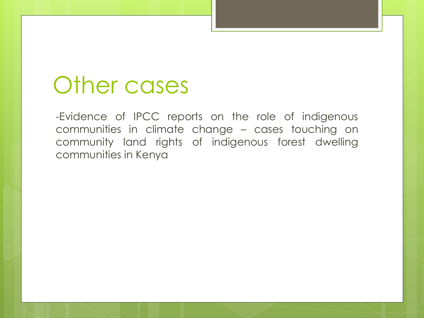### Other cases

-Evidence of IPCC reports on the role of indigenous communities in climate change – cases touching on community land rights of indigenous forest dwelling communities in Kenya